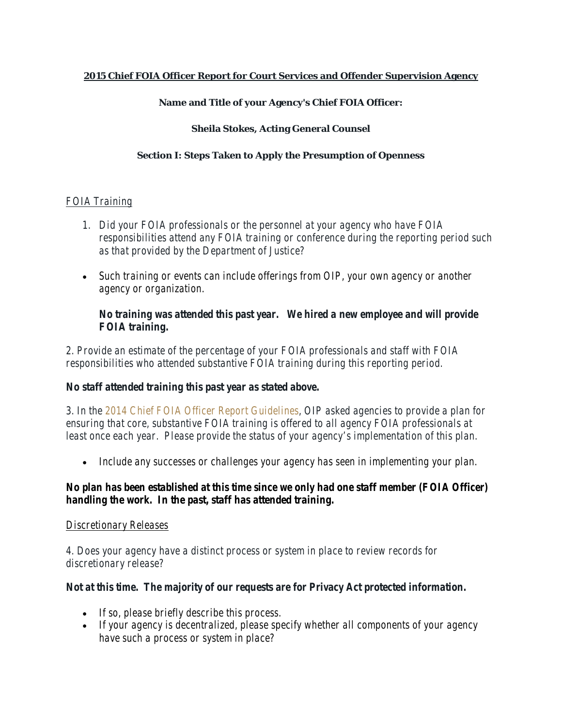### **2015 Chief FOIA Officer Report for Court Services and Offender Supervision Agency**

### **Name and Title of your Agency's Chief FOIA Officer:**

#### **Sheila Stokes, Acting General Counsel**

#### **Section I: Steps Taken to Apply the Presumption of Openness**

### *FOIA Training*

- *1. Did your FOIA professionals or the personnel at your agency who have FOIA responsibilities attend any FOIA training or conference during the reporting period such as that provided by the Department of Justice?*
- *Such training or events can include offerings from OIP, your own agency or another agency or organization.*

## *No training was attended this past year. We hired a new employee and will provide FOIA training.*

*2. Provide an estimate of the percentage of your FOIA professionals and staff with FOIA responsibilities who attended substantive FOIA training during this reporting period.*

## *No staff attended training this past year as stated above.*

*3. In the [2014 Chief FOIA Officer Report Guidelines,](http://www.justice.gov/oip/blog/foia-guidance-12) OIP asked agencies to provide a plan for ensuring that core, substantive FOIA training is offered to all agency FOIA professionals at least once each year. Please provide the status of your agency's implementation of this plan.*

• *Include any successes or challenges your agency has seen in implementing your plan.*

## *No plan has been established at this time since we only had one staff member (FOIA Officer) handling the work. In the past, staff has attended training.*

#### *Discretionary Releases*

*4. Does your agency have a distinct process or system in place to review records for discretionary release?*

## *Not at this time. The majority of our requests are for Privacy Act protected information.*

- *If so, please briefly describe this process.*
- *If your agency is decentralized, please specify whether all components of your agency have such a process or system in place?*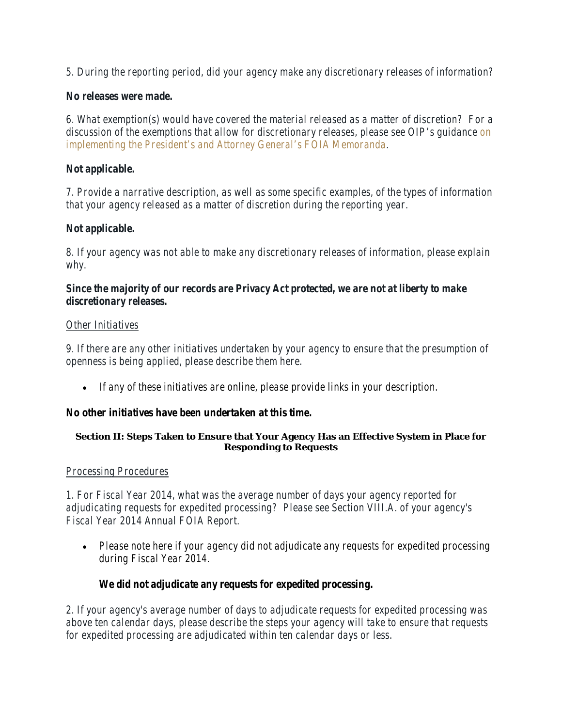*5. During the reporting period, did your agency make any discretionary releases of information?*

## *No releases were made.*

*6. What exemption(s) would have covered the material released as a matter of discretion? For a discussion of the exemptions that allow for discretionary releases, please see OIP's guidance [on](http://www.justice.gov/oip/foiapost/2009foiapost8.htm)  [implementing the President's and Attorney General's FOIA Memoranda.](http://www.justice.gov/oip/foiapost/2009foiapost8.htm)*

# *Not applicable.*

*7. Provide a narrative description, as well as some specific examples, of the types of information that your agency released as a matter of discretion during the reporting year.* 

## *Not applicable.*

*8. If your agency was not able to make any discretionary releases of information, please explain why.*

## *Since the majority of our records are Privacy Act protected, we are not at liberty to make discretionary releases.*

## *Other Initiatives*

*9. If there are any other initiatives undertaken by your agency to ensure that the presumption of openness is being applied, please describe them here.*

• *If any of these initiatives are online, please provide links in your description.*

## *No other initiatives have been undertaken at this time.*

#### **Section II: Steps Taken to Ensure that Your Agency Has an Effective System in Place for Responding to Requests**

## *Processing Procedures*

*1. For Fiscal Year 2014, what was the average number of days your agency reported for adjudicating requests for expedited processing? Please see Section VIII.A. of your agency's Fiscal Year 2014 Annual FOIA Report.*

• *Please note here if your agency did not adjudicate any requests for expedited processing during Fiscal Year 2014.* 

# *We did not adjudicate any requests for expedited processing.*

*2. If your agency's average number of days to adjudicate requests for expedited processing was above ten calendar days, please describe the steps your agency will take to ensure that requests for expedited processing are adjudicated within ten calendar days or less.*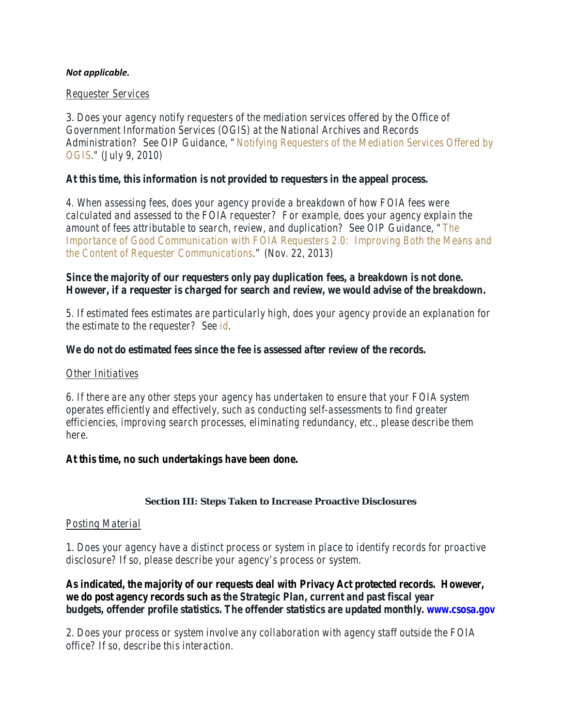#### *Not applicable.*

#### *Requester Services*

3. *Does your agency notify requesters of the mediation services offered by the Office of Government Information Services (OGIS) at the National Archives and Records Administration? See OIP Guidance, ["Notifying Requesters of the Mediation Services Offered by](http://www.justice.gov/oip/foiapost/2010foiapost21.htm)  [OGIS.](http://www.justice.gov/oip/foiapost/2010foiapost21.htm)" (July 9, 2010)* 

### *At this time, this information is not provided to requesters in the appeal process.*

*4. When assessing fees, does your agency provide a breakdown of how FOIA fees were calculated and assessed to the FOIA requester? For example, does your agency explain the amount of fees attributable to search, review, and duplication? See OIP Guidance, ["The](http://www.justice.gov/oip/foiapost/2013foiapost06.html)  [Importance of Good Communication with FOIA Requesters 2.0:](http://www.justice.gov/oip/foiapost/2013foiapost06.html) Improving Both the Means and [the Content of Requester Communications.](http://www.justice.gov/oip/foiapost/2013foiapost06.html)" (Nov. 22, 2013)*

## *Since the majority of our requesters only pay duplication fees, a breakdown is not done. However, if a requester is charged for search and review, we would advise of the breakdown.*

*5. If estimated fees estimates are particularly high, does your agency provide an explanation for the estimate to the requester? See [id.](http://www.justice.gov/oip/foiapost/2013foiapost06.html)*

### *We do not do estimated fees since the fee is assessed after review of the records.*

#### *Other Initiatives*

*6. If there are any other steps your agency has undertaken to ensure that your FOIA system operates efficiently and effectively, such as conducting self-assessments to find greater efficiencies, improving search processes, eliminating redundancy, etc., please describe them here.*

#### *At this time, no such undertakings have been done.*

#### **Section III: Steps Taken to Increase Proactive Disclosures**

#### *Posting Material*

1. *Does your agency have a distinct process or system in place to identify records for proactive disclosure? If so, please describe your agency's process or system.*

*As indicated, the majority of our requests deal with Privacy Act protected records. However, we do post agency records such as the Strategic Plan, current and past fiscal year budgets, offender profile statistics. The offender statistics are updated monthly. www.csosa.gov*

2. *Does your process or system involve any collaboration with agency staff outside the FOIA office? If so, describe this interaction.*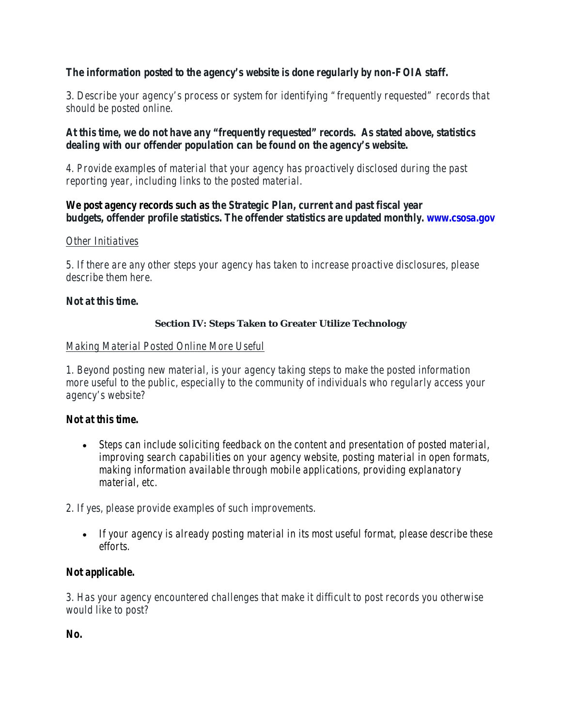## *The information posted to the agency's website is done regularly by non-FOIA staff.*

3. *Describe your agency's process or system for identifying "frequently requested" records that should be posted online.*

*At this time, we do not have any "frequently requested" records. As stated above, statistics dealing with our offender population can be found on the agency's website.*

*4. Provide examples of material that your agency has proactively disclosed during the past reporting year, including links to the posted material.*

### *We post agency records such as the Strategic Plan, current and past fiscal year budgets, offender profile statistics. The offender statistics are updated monthly. www.csosa.gov*

### *Other Initiatives*

*5. If there are any other steps your agency has taken to increase proactive disclosures, please describe them here.*

### *Not at this time.*

### **Section IV: Steps Taken to Greater Utilize Technology**

### *Making Material Posted Online More Useful*

*1. Beyond posting new material, is your agency taking steps to make the posted information more useful to the public, especially to the community of individuals who regularly access your agency's website?*

## *Not at this time.*

- *Steps can include soliciting feedback on the content and presentation of posted material, improving search capabilities on your agency website, posting material in open formats, making information available through mobile applications, providing explanatory material, etc.*
- *2. If yes, please provide examples of such improvements.*
	- *If your agency is already posting material in its most useful format, please describe these efforts.*

## *Not applicable.*

*3. Has your agency encountered challenges that make it difficult to post records you otherwise would like to post?*

*No.*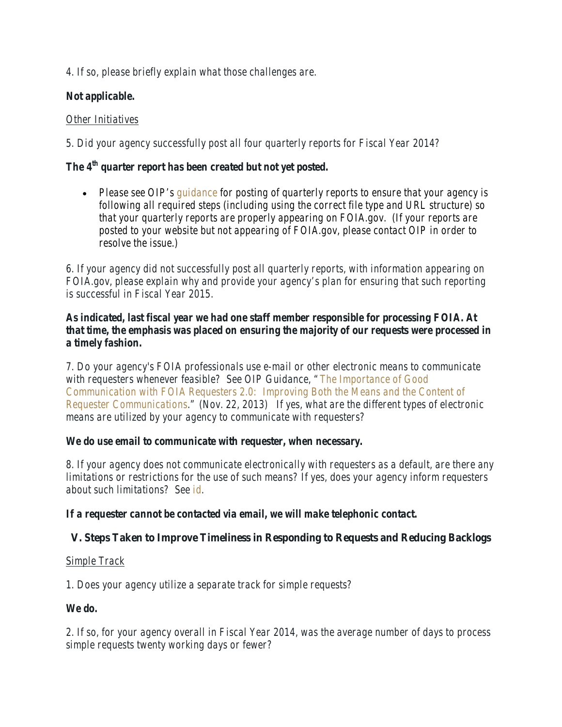*4. If so, please briefly explain what those challenges are.*

# *Not applicable.*

# *Other Initiatives*

*5. Did your agency successfully post all four quarterly reports for Fiscal Year 2014?*

# *The 4th quarter report has been created but not yet posted.*

• *Please see OIP's [guidance](http://www.justice.gov/oip/blog/foia-guidance-12) for posting of quarterly reports to ensure that your agency is following all required steps (including using the correct file type and URL structure) so that your quarterly reports are properly appearing on FOIA.gov. (If your reports are posted to your website but not appearing of FOIA.gov, please contact OIP in order to resolve the issue.)*

*6. If your agency did not successfully post all quarterly reports, with information appearing on FOIA.gov, please explain why and provide your agency's plan for ensuring that such reporting is successful in Fiscal Year 2015.*

## *As indicated, last fiscal year we had one staff member responsible for processing FOIA. At that time, the emphasis was placed on ensuring the majority of our requests were processed in a timely fashion.*

*7. Do your agency's FOIA professionals use e-mail or other electronic means to communicate with requesters whenever feasible? See OIP Guidance, ["The Importance of Good](http://www.justice.gov/oip/foiapost/2013foiapost06.html)  Communication with FOIA Requesters 2.0: [Improving Both the Means and the Content of](http://www.justice.gov/oip/foiapost/2013foiapost06.html)  [Requester Communications.](http://www.justice.gov/oip/foiapost/2013foiapost06.html)" (Nov. 22, 2013) If yes, what are the different types of electronic means are utilized by your agency to communicate with requesters?*

## *We do use email to communicate with requester, when necessary.*

*8. If your agency does not communicate electronically with requesters as a default, are there any limitations or restrictions for the use of such means? If yes, does your agency inform requesters about such limitations? See [id.](http://www.justice.gov/oip/foiapost/2013foiapost06.html)*

*If a requester cannot be contacted via email, we will make telephonic contact.*

# **V. Steps Taken to Improve Timeliness in Responding to Requests and Reducing Backlogs**

## *Simple Track*

*1. Does your agency utilize a separate track for simple requests?*

## *We do.*

*2. If so, for your agency overall in Fiscal Year 2014, was the average number of days to process simple requests twenty working days or fewer?*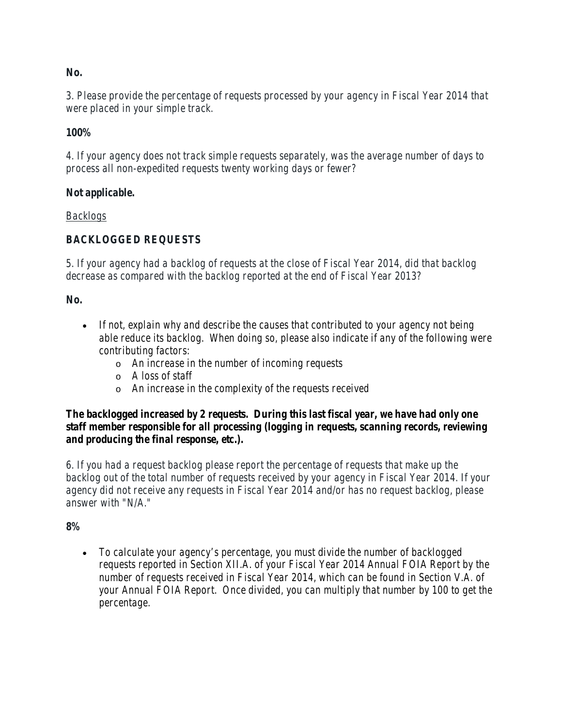### *No.*

*3. Please provide the percentage of requests processed by your agency in Fiscal Year 2014 that were placed in your simple track.*

### *100%*

*4. If your agency does not track simple requests separately, was the average number of days to process all non-expedited requests twenty working days or fewer?*

### *Not applicable.*

### *Backlogs*

## *BACKLOGGED REQUESTS*

*5. If your agency had a backlog of requests at the close of Fiscal Year 2014, did that backlog decrease as compared with the backlog reported at the end of Fiscal Year 2013?*

### *No.*

- *If not, explain why and describe the causes that contributed to your agency not being able reduce its backlog. When doing so, please also indicate if any of the following were contributing factors:*
	- o *An increase in the number of incoming requests*
	- o *A loss of staff*
	- o *An increase in the complexity of the requests received*

### *The backlogged increased by 2 requests. During this last fiscal year, we have had only one staff member responsible for all processing (logging in requests, scanning records, reviewing and producing the final response, etc.).*

*6. If you had a request backlog please report the percentage of requests that make up the backlog out of the total number of requests received by your agency in Fiscal Year 2014. If your agency did not receive any requests in Fiscal Year 2014 and/or has no request backlog, please answer with "N/A."*

#### *8%*

• *To calculate your agency's percentage, you must divide the number of backlogged requests reported in Section XII.A. of your Fiscal Year 2014 Annual FOIA Report by the number of requests received in Fiscal Year 2014, which can be found in Section V.A. of your Annual FOIA Report. Once divided, you can multiply that number by 100 to get the percentage.*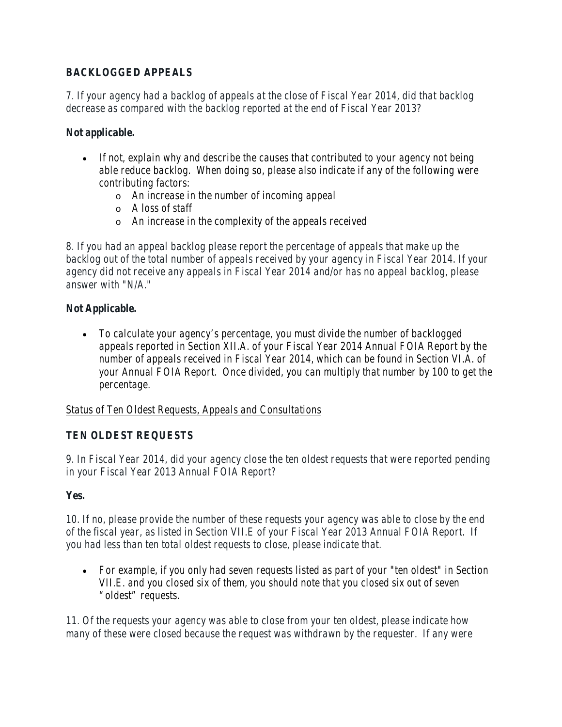# *BACKLOGGED APPEALS*

*7. If your agency had a backlog of appeals at the close of Fiscal Year 2014, did that backlog decrease as compared with the backlog reported at the end of Fiscal Year 2013?*

## *Not applicable.*

- *If not, explain why and describe the causes that contributed to your agency not being able reduce backlog. When doing so, please also indicate if any of the following were contributing factors:*
	- o *An increase in the number of incoming appeal*
	- o *A loss of staff*
	- o *An increase in the complexity of the appeals received*

*8. If you had an appeal backlog please report the percentage of appeals that make up the backlog out of the total number of appeals received by your agency in Fiscal Year 2014. If your agency did not receive any appeals in Fiscal Year 2014 and/or has no appeal backlog, please answer with "N/A."*

## *Not Applicable.*

• *To calculate your agency's percentage, you must divide the number of backlogged appeals reported in Section XII.A. of your Fiscal Year 2014 Annual FOIA Report by the number of appeals received in Fiscal Year 2014, which can be found in Section VI.A. of your Annual FOIA Report. Once divided, you can multiply that number by 100 to get the percentage.*

## *Status of Ten Oldest Requests, Appeals and Consultations*

## *TEN OLDEST REQUESTS*

*9. In Fiscal Year 2014, did your agency close the ten oldest requests that were reported pending in your Fiscal Year 2013 Annual FOIA Report?*

## *Yes.*

*10. If no, please provide the number of these requests your agency was able to close by the end of the fiscal year, as listed in Section VII.E of your Fiscal Year 2013 Annual FOIA Report. If you had less than ten total oldest requests to close, please indicate that.*

• *For example, if you only had seven requests listed as part of your "ten oldest" in Section VII.E. and you closed six of them, you should note that you closed six out of seven "oldest" requests.*

*11. Of the requests your agency was able to close from your ten oldest, please indicate how many of these were closed because the request was withdrawn by the requester. If any were*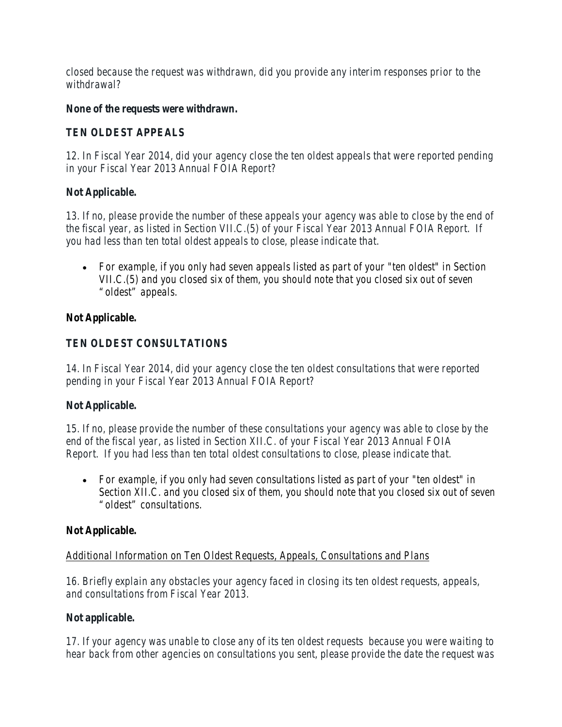*closed because the request was withdrawn, did you provide any interim responses prior to the withdrawal?*

### *None of the requests were withdrawn.*

## *TEN OLDEST APPEALS*

*12. In Fiscal Year 2014, did your agency close the ten oldest appeals that were reported pending in your Fiscal Year 2013 Annual FOIA Report?*

### *Not Applicable.*

*13. If no, please provide the number of these appeals your agency was able to close by the end of the fiscal year, as listed in Section VII.C.(5) of your Fiscal Year 2013 Annual FOIA Report. If you had less than ten total oldest appeals to close, please indicate that.*

• *For example, if you only had seven appeals listed as part of your "ten oldest" in Section VII.C.(5) and you closed six of them, you should note that you closed six out of seven "oldest" appeals.*

## *Not Applicable.*

## *TEN OLDEST CONSULTATIONS*

*14. In Fiscal Year 2014, did your agency close the ten oldest consultations that were reported pending in your Fiscal Year 2013 Annual FOIA Report?*

## *Not Applicable.*

*15. If no, please provide the number of these consultations your agency was able to close by the end of the fiscal year, as listed in Section XII.C. of your Fiscal Year 2013 Annual FOIA Report. If you had less than ten total oldest consultations to close, please indicate that.*

• *For example, if you only had seven consultations listed as part of your "ten oldest" in Section XII.C. and you closed six of them, you should note that you closed six out of seven "oldest" consultations.*

## *Not Applicable.*

## *Additional Information on Ten Oldest Requests, Appeals, Consultations and Plans*

*16. Briefly explain any obstacles your agency faced in closing its ten oldest requests, appeals, and consultations from Fiscal Year 2013.*

## *Not applicable.*

*17. If your agency was unable to close any of its ten oldest requests because you were waiting to hear back from other agencies on consultations you sent, please provide the date the request was*